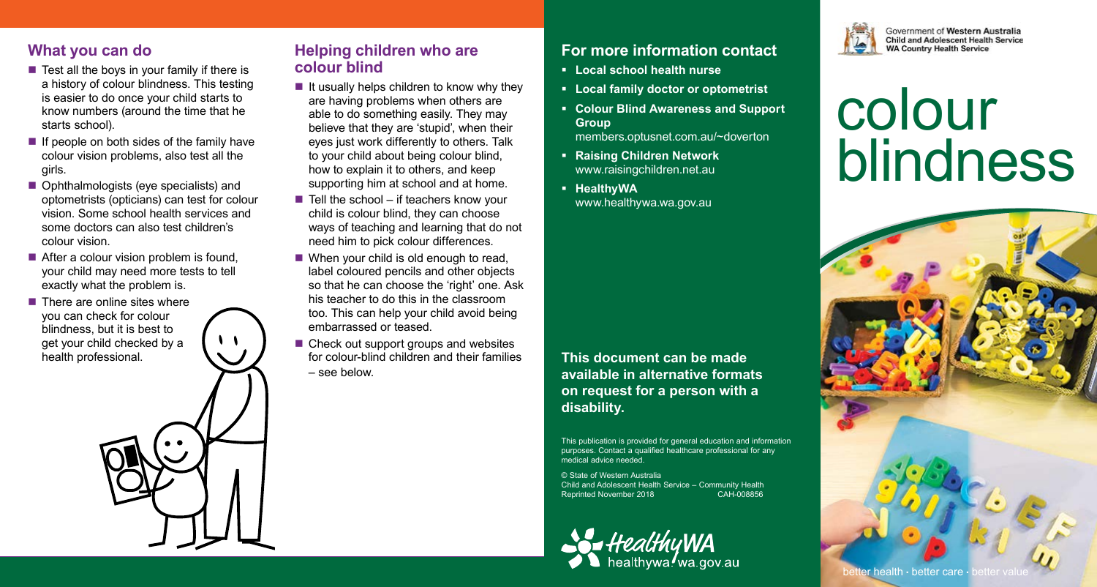## **What you can do**

- $\blacksquare$  Test all the boys in your family if there is a history of colour blindness. This testing is easier to do once your child starts to know numbers (around the time that he starts school).
- $\blacksquare$  If people on both sides of the family have colour vision problems, also test all the girls.
- Ophthalmologists (eye specialists) and optometrists (opticians) can test for colour vision. Some school health services and some doctors can also test children's colour vision.
- After a colour vision problem is found. your child may need more tests to tell exactly what the problem is.
- $\blacksquare$  There are online sites where you can check for colour blindness, but it is best to get your child checked by a health professional.

#### **Helping children who are colour blind**

- $\blacksquare$  It usually helps children to know why they are having problems when others are able to do something easily. They may believe that they are 'stupid', when their eyes just work differently to others. Talk to your child about being colour blind, how to explain it to others, and keep supporting him at school and at home.
- $\blacksquare$  Tell the school if teachers know your child is colour blind, they can choose ways of teaching and learning that do not need him to pick colour differences.
- When your child is old enough to read, label coloured pencils and other objects so that he can choose the 'right' one. Ask his teacher to do this in the classroom too. This can help your child avoid being embarrassed or teased.
- Check out support groups and websites for colour-blind children and their families – see below.

## **For more information contact**

- **Local school health nurse**
- **Local family doctor or optometrist**
- **Colour Blind Awareness and Support Group** members.optusnet.com.au/~doverton
- **Raising Children Network** www.raisingchildren.net.au
- **HealthvWA** www.healthywa.wa.gov.au

**This document can be made available in alternative formats on request for a person with a disability.**

This publication is provided for general education and information purposes. Contact a qualified healthcare professional for any medical advice needed.

© State of Western Australia Child and Adolescent Health Service – Community Health Reprinted November 2018 CAH-008856





Government of Western Australia **Child and Adolescent Health Service WA Country Health Service** 

# colour blindness